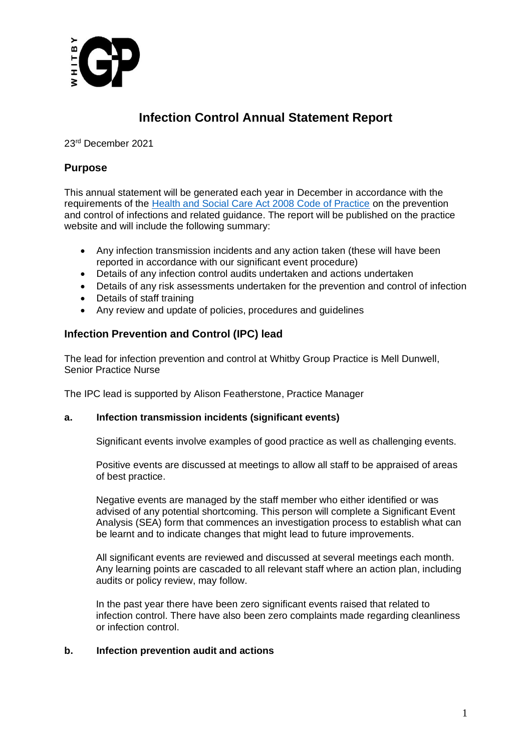

# **Infection Control Annual Statement Report**

23rd December 2021

# **Purpose**

This annual statement will be generated each year in December in accordance with the requirements of the [Health and Social Care Act 2008 Code of Practice](https://www.gov.uk/government/publications/the-health-and-social-care-act-2008-code-of-practice-on-the-prevention-and-control-of-infections-and-related-guidance) on the prevention and control of infections and related guidance. The report will be published on the practice website and will include the following summary:

- Any infection transmission incidents and any action taken (these will have been reported in accordance with our significant event procedure)
- Details of any infection control audits undertaken and actions undertaken
- Details of any risk assessments undertaken for the prevention and control of infection
- Details of staff training
- Any review and update of policies, procedures and guidelines

# **Infection Prevention and Control (IPC) lead**

The lead for infection prevention and control at Whitby Group Practice is Mell Dunwell, Senior Practice Nurse

The IPC lead is supported by Alison Featherstone, Practice Manager

## **a. Infection transmission incidents (significant events)**

Significant events involve examples of good practice as well as challenging events.

Positive events are discussed at meetings to allow all staff to be appraised of areas of best practice.

Negative events are managed by the staff member who either identified or was advised of any potential shortcoming. This person will complete a Significant Event Analysis (SEA) form that commences an investigation process to establish what can be learnt and to indicate changes that might lead to future improvements.

All significant events are reviewed and discussed at several meetings each month. Any learning points are cascaded to all relevant staff where an action plan, including audits or policy review, may follow.

In the past year there have been zero significant events raised that related to infection control. There have also been zero complaints made regarding cleanliness or infection control.

## **b. Infection prevention audit and actions**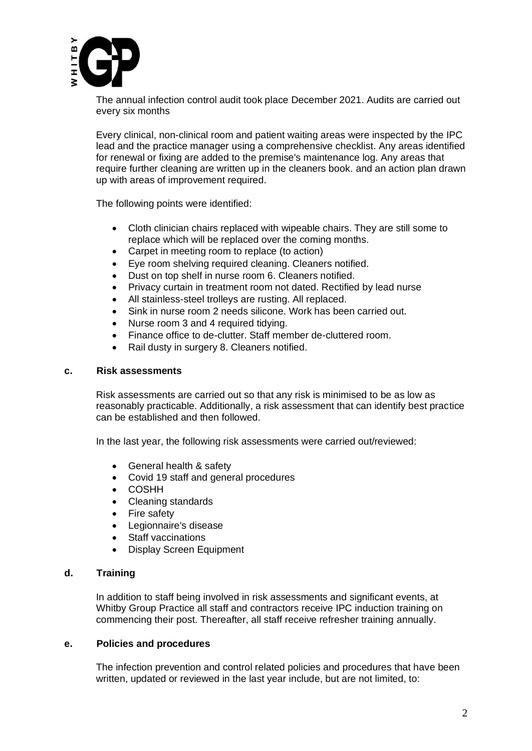

The annual infection control audit took place December 2021. Audits are carried out every six months

Every clinical, non-clinical room and patient waiting areas were inspected by the IPC lead and the practice manager using a comprehensive checklist. Any areas identified for renewal or fixing are added to the premise's maintenance log. Any areas that require further cleaning are written up in the cleaners book. and an action plan drawn up with areas of improvement required.

The following points were identified:

- Cloth clinician chairs replaced with wipeable chairs. They are still some to replace which will be replaced over the coming months.
- Carpet in meeting room to replace (to action)
- Eye room shelving required cleaning. Cleaners notified.
- Dust on top shelf in nurse room 6. Cleaners notified.
- Privacy curtain in treatment room not dated. Rectified by lead nurse
- All stainless-steel trolleys are rusting. All replaced.
- Sink in nurse room 2 needs silicone. Work has been carried out.
- Nurse room 3 and 4 required tidying.
- Finance office to de-clutter. Staff member de-cluttered room.
- Rail dusty in surgery 8. Cleaners notified.

#### **c. Risk assessments**

Risk assessments are carried out so that any risk is minimised to be as low as reasonably practicable. Additionally, a risk assessment that can identify best practice can be established and then followed.

In the last year, the following risk assessments were carried out/reviewed:

- General health & safety
- Covid 19 staff and general procedures
- COSHH
- Cleaning standards
- Fire safety
- Legionnaire's disease
- Staff vaccinations
- Display Screen Equipment

## **d. Training**

In addition to staff being involved in risk assessments and significant events, at Whitby Group Practice all staff and contractors receive IPC induction training on commencing their post. Thereafter, all staff receive refresher training annually.

#### **e. Policies and procedures**

The infection prevention and control related policies and procedures that have been written, updated or reviewed in the last year include, but are not limited, to: